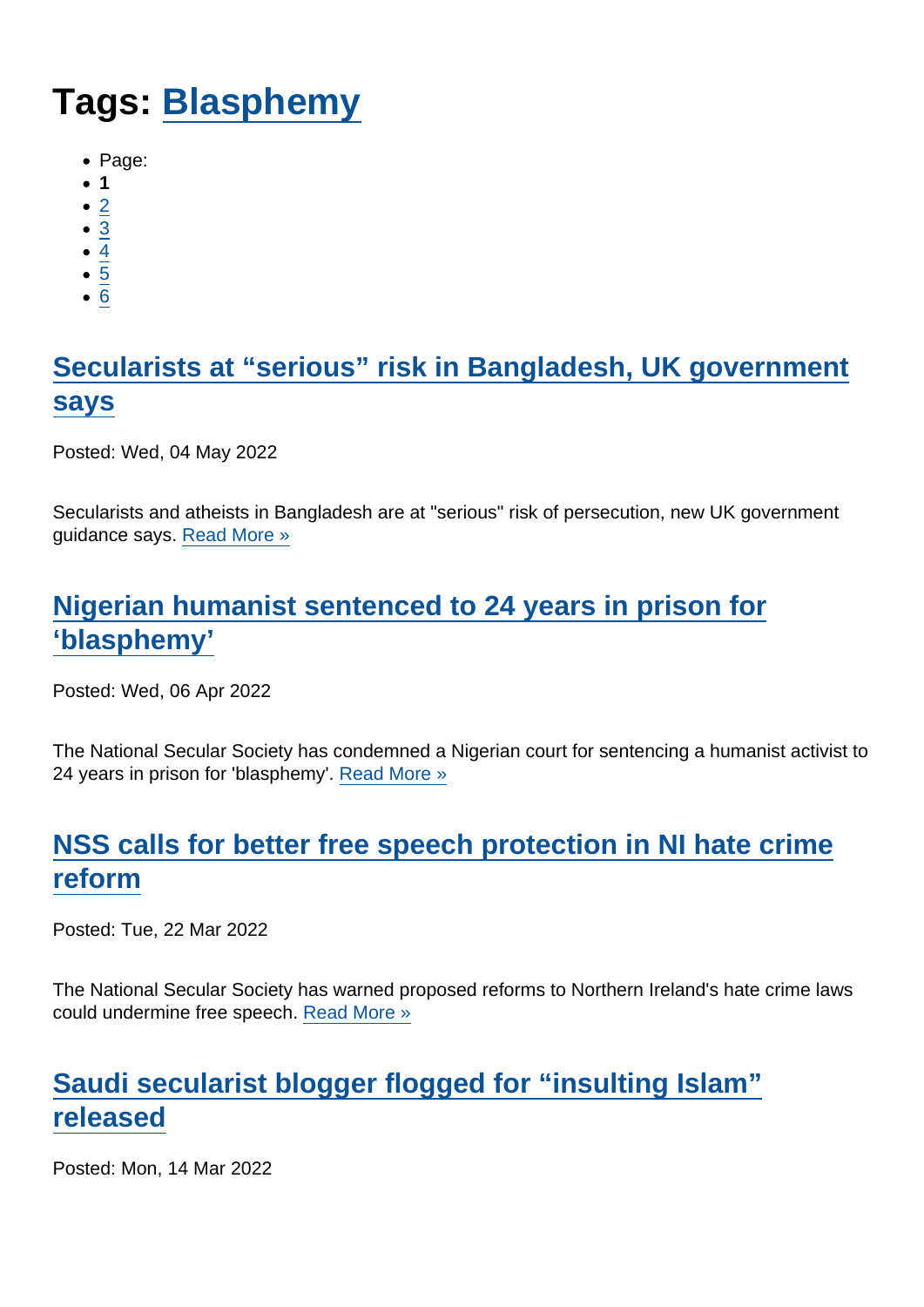# Tags: [Blasphemy](https://www.secularism.org.uk/news/tags/Blasphemy)

- Page:
- 1
- $\bullet$  [2](/mnt/web-data/www/cp-nss/news/tags/Blasphemy)
- [3](/mnt/web-data/www/cp-nss/news/tags/Blasphemy)
- [4](/mnt/web-data/www/cp-nss/news/tags/Blasphemy)
- $\bullet$  [5](/mnt/web-data/www/cp-nss/news/tags/Blasphemy)
- [6](/mnt/web-data/www/cp-nss/news/tags/Blasphemy)

## [Secularists at "serious" risk in Bangladesh, UK government](https://www.secularism.org.uk/news/2022/05/secularists-at-serious-risk-in-bangladesh-uk-government-says) [says](https://www.secularism.org.uk/news/2022/05/secularists-at-serious-risk-in-bangladesh-uk-government-says)

Posted: Wed, 04 May 2022

Secularists and atheists in Bangladesh are at "serious" risk of persecution, new UK government guidance says. [Read More »](https://www.secularism.org.uk/news/2022/05/secularists-at-serious-risk-in-bangladesh-uk-government-says)

## [Nigerian humanist sentenced to 24 years in prison for](https://www.secularism.org.uk/news/2022/04/nigerian-humanist-sentenced-to-24-years-in-prison-for-blasphemy) ['blasphemy'](https://www.secularism.org.uk/news/2022/04/nigerian-humanist-sentenced-to-24-years-in-prison-for-blasphemy)

Posted: Wed, 06 Apr 2022

The National Secular Society has condemned a Nigerian court for sentencing a humanist activist to 24 years in prison for 'blasphemy'. [Read More »](https://www.secularism.org.uk/news/2022/04/nigerian-humanist-sentenced-to-24-years-in-prison-for-blasphemy)

## [NSS calls for better free speech protection in NI hate crime](https://www.secularism.org.uk/news/2022/03/nss-calls-for-better-free-speech-protection-in-ni-hate-crime-reform) [reform](https://www.secularism.org.uk/news/2022/03/nss-calls-for-better-free-speech-protection-in-ni-hate-crime-reform)

Posted: Tue, 22 Mar 2022

The National Secular Society has warned proposed reforms to Northern Ireland's hate crime laws could undermine free speech. [Read More »](https://www.secularism.org.uk/news/2022/03/nss-calls-for-better-free-speech-protection-in-ni-hate-crime-reform)

## [Saudi secularist blogger flogged for "insulting Islam"](https://www.secularism.org.uk/news/2022/03/saudi-secularist-blogger-flogged-for-insulting-islam-released) [released](https://www.secularism.org.uk/news/2022/03/saudi-secularist-blogger-flogged-for-insulting-islam-released)

Posted: Mon, 14 Mar 2022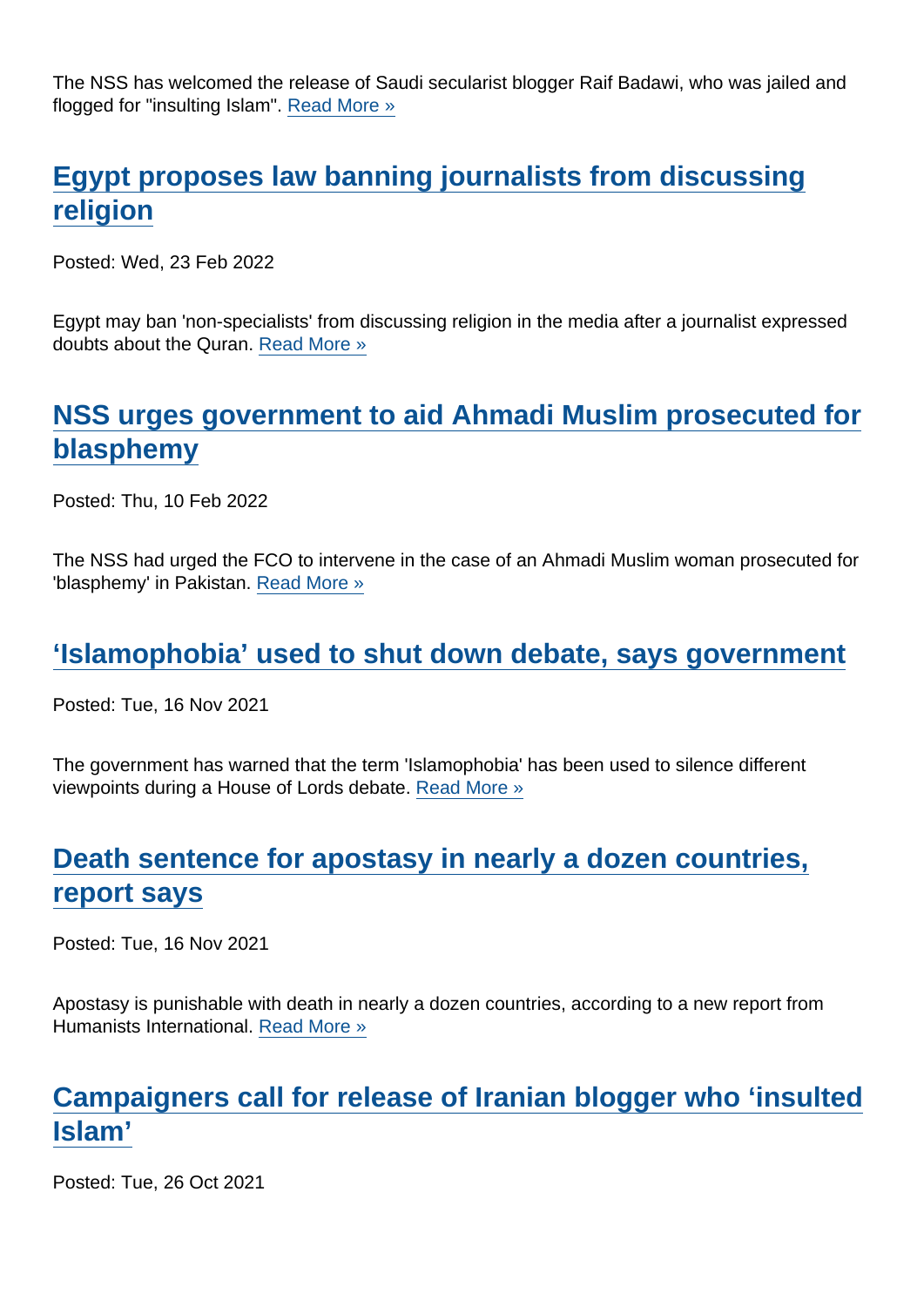The NSS has welcomed the release of Saudi secularist blogger Raif Badawi, who was jailed and flogged for "insulting Islam". [Read More »](https://www.secularism.org.uk/news/2022/03/saudi-secularist-blogger-flogged-for-insulting-islam-released)

#### [Egypt proposes law banning journalists from discussing](https://www.secularism.org.uk/news/2022/02/egypt-proposes-law-banning-journalists-from-discussing-religion) [religion](https://www.secularism.org.uk/news/2022/02/egypt-proposes-law-banning-journalists-from-discussing-religion)

Posted: Wed, 23 Feb 2022

Egypt may ban 'non-specialists' from discussing religion in the media after a journalist expressed doubts about the Quran. [Read More »](https://www.secularism.org.uk/news/2022/02/egypt-proposes-law-banning-journalists-from-discussing-religion)

## [NSS urges government to aid Ahmadi Muslim prosecuted for](https://www.secularism.org.uk/news/2022/02/nss-urges-government-to-aid-ahmadi-muslim-convicted-of-blasphemy) [blasphemy](https://www.secularism.org.uk/news/2022/02/nss-urges-government-to-aid-ahmadi-muslim-convicted-of-blasphemy)

Posted: Thu, 10 Feb 2022

The NSS had urged the FCO to intervene in the case of an Ahmadi Muslim woman prosecuted for 'blasphemy' in Pakistan. [Read More »](https://www.secularism.org.uk/news/2022/02/nss-urges-government-to-aid-ahmadi-muslim-convicted-of-blasphemy)

#### ['Islamophobia' used to shut down debate, says government](https://www.secularism.org.uk/news/2021/11/islamophobia-used-to-shut-down-debate-says-government)

Posted: Tue, 16 Nov 2021

The government has warned that the term 'Islamophobia' has been used to silence different viewpoints during a House of Lords debate. [Read More »](https://www.secularism.org.uk/news/2021/11/islamophobia-used-to-shut-down-debate-says-government)

# [Death sentence for apostasy in nearly a dozen countries,](https://www.secularism.org.uk/news/2021/11/death-sentence-for-apostasy-in-nearly-a-dozen-countries-report-says) [report says](https://www.secularism.org.uk/news/2021/11/death-sentence-for-apostasy-in-nearly-a-dozen-countries-report-says)

Posted: Tue, 16 Nov 2021

Apostasy is punishable with death in nearly a dozen countries, according to a new report from Humanists International. [Read More »](https://www.secularism.org.uk/news/2021/11/death-sentence-for-apostasy-in-nearly-a-dozen-countries-report-says)

#### [Campaigners call for release of Iranian blogger who 'insulted](https://www.secularism.org.uk/news/2021/10/campaigners-call-for-release-of-iranian-blogger-who-insulted-islam) [Islam'](https://www.secularism.org.uk/news/2021/10/campaigners-call-for-release-of-iranian-blogger-who-insulted-islam)

Posted: Tue, 26 Oct 2021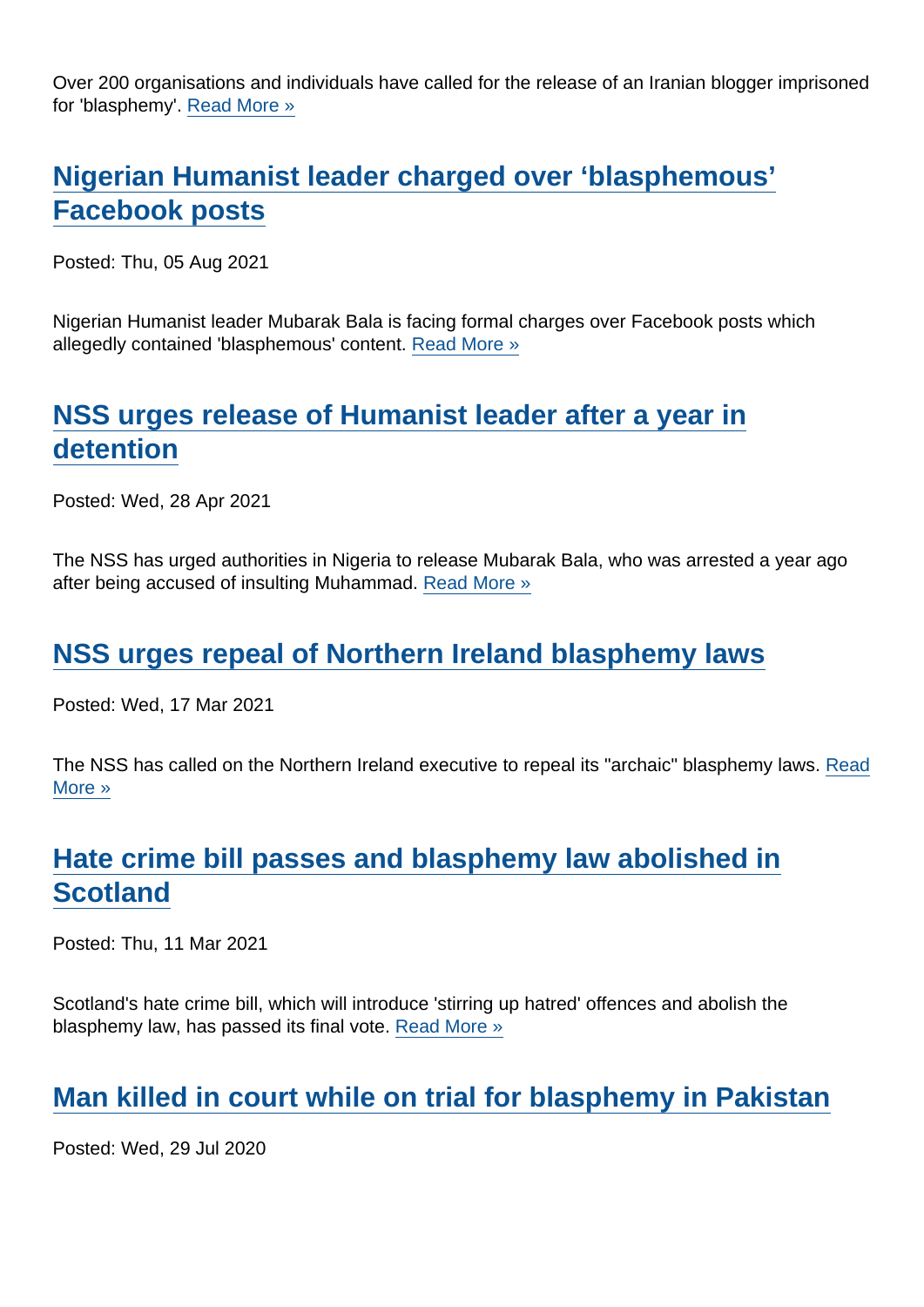Over 200 organisations and individuals have called for the release of an Iranian blogger imprisoned for 'blasphemy'. [Read More »](https://www.secularism.org.uk/news/2021/10/campaigners-call-for-release-of-iranian-blogger-who-insulted-islam)

## [Nigerian Humanist leader charged over 'blasphemous'](https://www.secularism.org.uk/news/2021/08/nigerian-humanist-leader-charged-over-blasphemous-facebook-posts) [Facebook posts](https://www.secularism.org.uk/news/2021/08/nigerian-humanist-leader-charged-over-blasphemous-facebook-posts)

Posted: Thu, 05 Aug 2021

Nigerian Humanist leader Mubarak Bala is facing formal charges over Facebook posts which allegedly contained 'blasphemous' content. [Read More »](https://www.secularism.org.uk/news/2021/08/nigerian-humanist-leader-charged-over-blasphemous-facebook-posts)

## [NSS urges release of Humanist leader after a year in](https://www.secularism.org.uk/news/2021/04/nss-urges-nigeria-to-release-humanist-leader-after-a-years-detention) [detention](https://www.secularism.org.uk/news/2021/04/nss-urges-nigeria-to-release-humanist-leader-after-a-years-detention)

Posted: Wed, 28 Apr 2021

The NSS has urged authorities in Nigeria to release Mubarak Bala, who was arrested a year ago after being accused of insulting Muhammad. [Read More »](https://www.secularism.org.uk/news/2021/04/nss-urges-nigeria-to-release-humanist-leader-after-a-years-detention)

#### [NSS urges repeal of Northern Ireland blasphemy laws](https://www.secularism.org.uk/news/2021/03/nss-urges-repeal-of-northern-ireland-blasphemy-laws)

Posted: Wed, 17 Mar 2021

The NSS has called on the Northern Ireland executive to repeal its "archaic" blasphemy laws. [Read](https://www.secularism.org.uk/news/2021/03/nss-urges-repeal-of-northern-ireland-blasphemy-laws) [More »](https://www.secularism.org.uk/news/2021/03/nss-urges-repeal-of-northern-ireland-blasphemy-laws)

## [Hate crime bill passes and blasphemy law abolished in](https://www.secularism.org.uk/news/2021/03/hate-crime-bill-passes-and-blasphemy-law-abolished-in-scotland) **[Scotland](https://www.secularism.org.uk/news/2021/03/hate-crime-bill-passes-and-blasphemy-law-abolished-in-scotland)**

Posted: Thu, 11 Mar 2021

Scotland's hate crime bill, which will introduce 'stirring up hatred' offences and abolish the blasphemy law, has passed its final vote. [Read More »](https://www.secularism.org.uk/news/2021/03/hate-crime-bill-passes-and-blasphemy-law-abolished-in-scotland)

#### [Man killed in court while on trial for blasphemy in Pakistan](https://www.secularism.org.uk/news/2020/07/man-killed-in-court-while-on-trial-for-blasphemy-in-pakistan)

Posted: Wed, 29 Jul 2020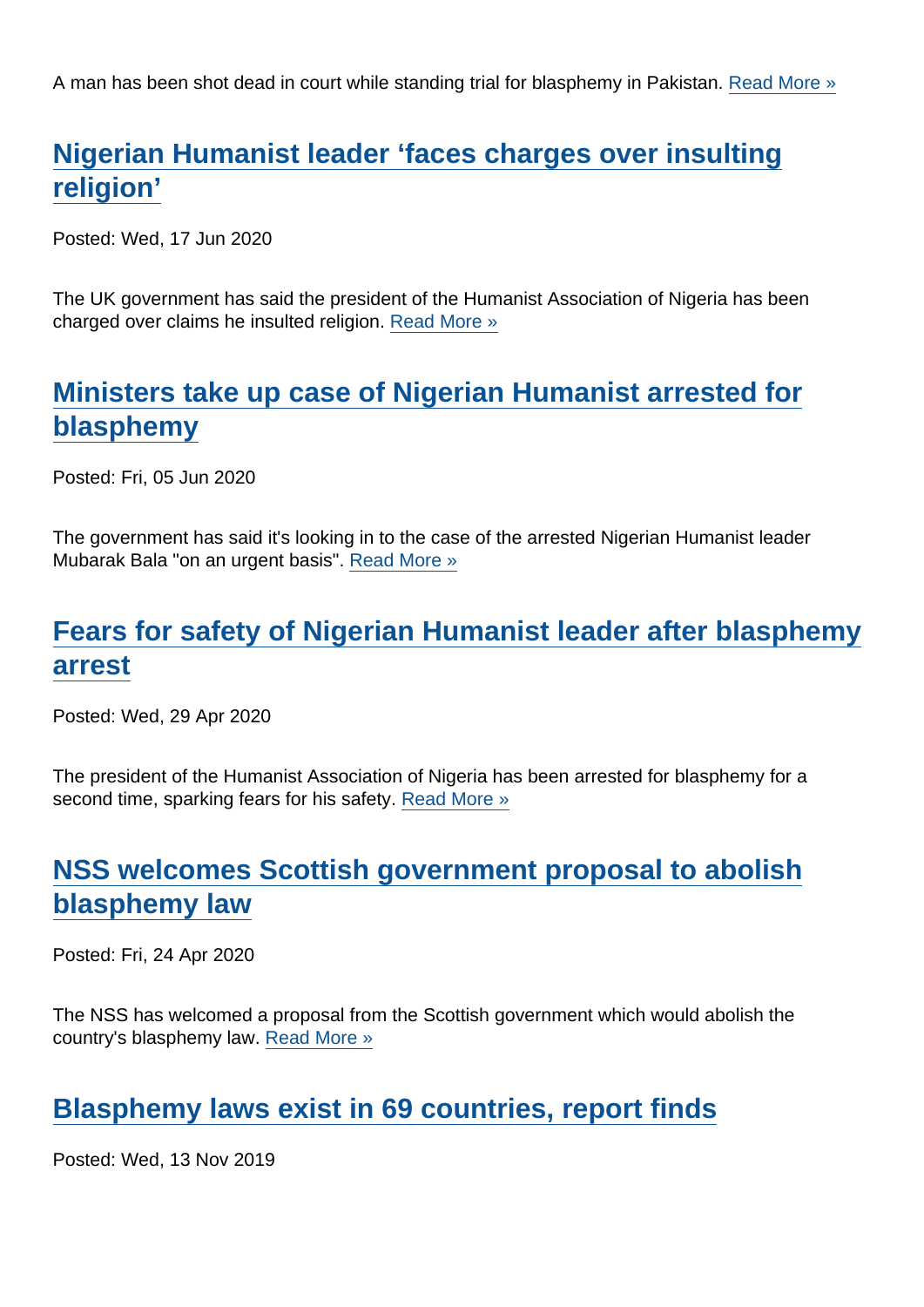A man has been shot dead in court while standing trial for blasphemy in Pakistan. [Read More »](https://www.secularism.org.uk/news/2020/07/man-killed-in-court-while-on-trial-for-blasphemy-in-pakistan)

## [Nigerian Humanist leader 'faces charges over insulting](https://www.secularism.org.uk/news/2020/06/nigerian-humanist-leader-charged-over-insulting-religion) [religion'](https://www.secularism.org.uk/news/2020/06/nigerian-humanist-leader-charged-over-insulting-religion)

Posted: Wed, 17 Jun 2020

The UK government has said the president of the Humanist Association of Nigeria has been charged over claims he insulted religion. [Read More »](https://www.secularism.org.uk/news/2020/06/nigerian-humanist-leader-charged-over-insulting-religion)

## [Ministers take up case of Nigerian Humanist arrested for](https://www.secularism.org.uk/news/2020/06/ministers-take-up-case-of-nigerian-humanist-arrested-for-blasphemy) [blasphemy](https://www.secularism.org.uk/news/2020/06/ministers-take-up-case-of-nigerian-humanist-arrested-for-blasphemy)

Posted: Fri, 05 Jun 2020

The government has said it's looking in to the case of the arrested Nigerian Humanist leader Mubarak Bala "on an urgent basis". [Read More »](https://www.secularism.org.uk/news/2020/06/ministers-take-up-case-of-nigerian-humanist-arrested-for-blasphemy)

## [Fears for safety of Nigerian Humanist leader after blasphemy](https://www.secularism.org.uk/news/2020/04/fears-for-safety-of-nigerian-humanist-leader-after-blasphemy-arrest) [arrest](https://www.secularism.org.uk/news/2020/04/fears-for-safety-of-nigerian-humanist-leader-after-blasphemy-arrest)

Posted: Wed, 29 Apr 2020

The president of the Humanist Association of Nigeria has been arrested for blasphemy for a second time, sparking fears for his safety. [Read More »](https://www.secularism.org.uk/news/2020/04/fears-for-safety-of-nigerian-humanist-leader-after-blasphemy-arrest)

#### [NSS welcomes Scottish government proposal to abolish](https://www.secularism.org.uk/news/2020/04/nss-welcomes-scottish-government-proposal-to-abolish-blasphemy-law) [blasphemy law](https://www.secularism.org.uk/news/2020/04/nss-welcomes-scottish-government-proposal-to-abolish-blasphemy-law)

Posted: Fri, 24 Apr 2020

The NSS has welcomed a proposal from the Scottish government which would abolish the country's blasphemy law. [Read More »](https://www.secularism.org.uk/news/2020/04/nss-welcomes-scottish-government-proposal-to-abolish-blasphemy-law)

#### [Blasphemy laws exist in 69 countries, report finds](https://www.secularism.org.uk/news/2019/11/blasphemy-laws-exist-in-69-countries-report-finds)

Posted: Wed, 13 Nov 2019